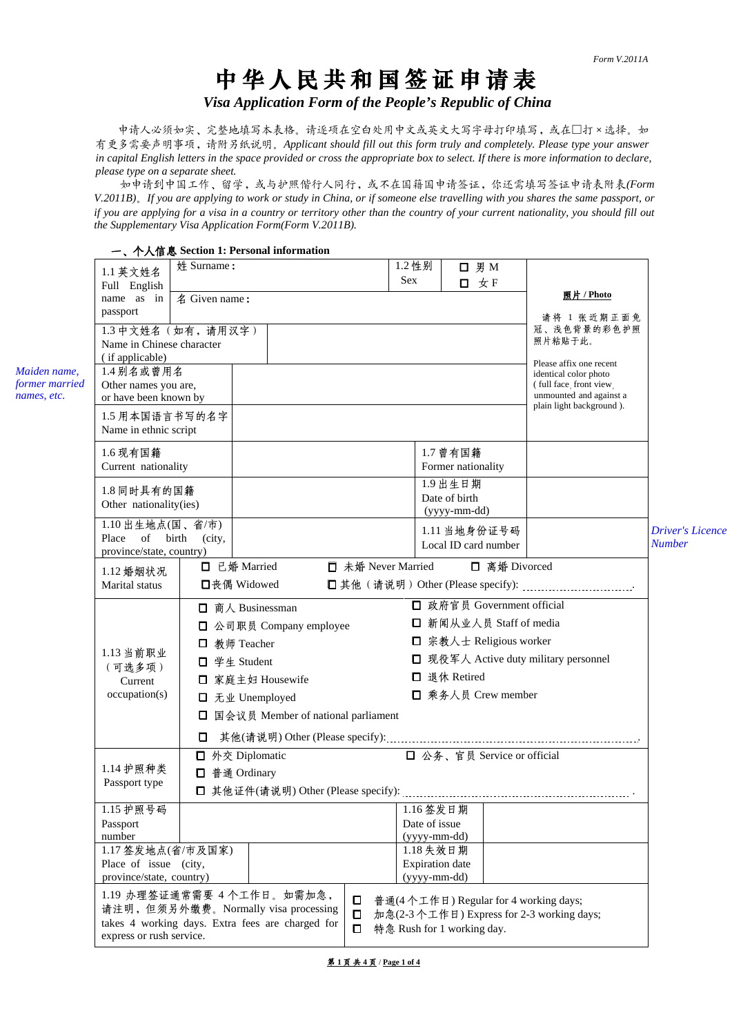# 中华人民共和国签证申请表

*Visa Application Form of the People's Republic of China*

申请人必须如实、完整地填写本表格。请逐项在空白处用中文或英文大写字母打印填写,或在□打×选择。如 有更多需要声明事项,请附另纸说明。*Applicant should fill out this form truly and completely. Please type your answer in capital English letters in the space provided or cross the appropriate box to select. If there is more information to declare, please type on a separate sheet.* 

如申请到中国工作、留学,或与护照偕行人同行,或不在国籍国申请签证,你还需填写签证申请表附表*(Form V.2011B)*。*If you are applying to work or study in China, or if someone else travelling with you shares the same passport, or if you are applying for a visa in a country or territory other than the country of your current nationality, you should fill out the Supplementary Visa Application Form(Form V.2011B).* 

|                                |                                   |               | 一、个人信息 Section 1: Personal information           |                    |                            |                          |                                      |                                                 |                                          |  |  |
|--------------------------------|-----------------------------------|---------------|--------------------------------------------------|--------------------|----------------------------|--------------------------|--------------------------------------|-------------------------------------------------|------------------------------------------|--|--|
|                                | 1.1 英文姓名                          | 姓 Surname:    |                                                  |                    | 1.2 性别                     |                          | <b>□ 男 M</b>                         |                                                 |                                          |  |  |
|                                | Full English                      |               |                                                  |                    | <b>Sex</b>                 |                          | 口 女 F                                |                                                 |                                          |  |  |
|                                | name as in                        | 名 Given name: |                                                  |                    |                            |                          |                                      | 照片 / Photo                                      |                                          |  |  |
|                                | passport                          |               |                                                  |                    |                            |                          |                                      | 请将 1 张近期正面免                                     |                                          |  |  |
|                                | 1.3 中文姓名(如有,请用汉字)                 |               |                                                  |                    |                            |                          |                                      | 冠、浅色背景的彩色护照                                     |                                          |  |  |
|                                | Name in Chinese character         |               |                                                  |                    |                            |                          |                                      | 照片粘贴于此。                                         |                                          |  |  |
|                                | (if applicable)                   |               |                                                  |                    |                            |                          |                                      | Please affix one recent                         |                                          |  |  |
| Maiden name,<br>former married | 1.4别名或曾用名<br>Other names you are, |               |                                                  |                    |                            |                          |                                      | identical color photo<br>(full face front view) |                                          |  |  |
| names, etc.                    | or have been known by             |               |                                                  |                    |                            |                          |                                      | unmounted and against a                         |                                          |  |  |
|                                | 1.5 用本国语言书写的名字                    |               |                                                  |                    |                            |                          |                                      | plain light background).                        |                                          |  |  |
|                                | Name in ethnic script             |               |                                                  |                    |                            |                          |                                      |                                                 |                                          |  |  |
|                                |                                   |               |                                                  |                    |                            |                          |                                      |                                                 |                                          |  |  |
|                                | 1.6 现有国籍                          |               |                                                  |                    |                            | 1.7 曾有国籍                 |                                      |                                                 |                                          |  |  |
|                                | Current nationality               |               |                                                  |                    |                            | Former nationality       |                                      |                                                 |                                          |  |  |
|                                | 1.8 同时具有的国籍                       |               |                                                  |                    |                            | 1.9出生日期<br>Date of birth |                                      |                                                 |                                          |  |  |
|                                | Other nationality(ies)            |               |                                                  |                    |                            | (yyyy-mm-dd)             |                                      |                                                 |                                          |  |  |
|                                | 1.10 出生地点(国、省/市)                  |               |                                                  |                    |                            |                          |                                      |                                                 |                                          |  |  |
|                                | Place of birth                    | (city,        |                                                  |                    |                            |                          | 1.11 当地身份证号码<br>Local ID card number |                                                 | <b>Driver's Licence</b><br><b>Number</b> |  |  |
|                                | province/state, country)          |               |                                                  |                    |                            |                          |                                      |                                                 |                                          |  |  |
|                                | 1.12 婚姻状况                         | □ 已婚 Married  |                                                  | □ 未婚 Never Married |                            |                          | □ 离婚 Divorced                        |                                                 |                                          |  |  |
|                                | Marital status                    |               | □丧偶 Widowed                                      |                    |                            |                          |                                      |                                                 |                                          |  |  |
|                                |                                   |               | □ 商人 Businessman                                 |                    |                            |                          | □ 政府官员 Government official           |                                                 |                                          |  |  |
|                                |                                   |               | □ 公司职员 Company employee                          |                    |                            |                          | □ 新闻从业人员 Staff of media              |                                                 |                                          |  |  |
|                                |                                   | ц             | 教师 Teacher                                       |                    |                            |                          | □ 宗教人士 Religious worker              |                                                 |                                          |  |  |
|                                | 1.13 当前职业                         |               |                                                  |                    |                            |                          |                                      | □ 现役军人 Active duty military personnel           |                                          |  |  |
|                                | (可选多项)                            | 0.            | 学生 Student                                       |                    |                            | □ 退休 Retired             |                                      |                                                 |                                          |  |  |
|                                | Current                           |               | □ 家庭主妇 Housewife                                 |                    |                            |                          |                                      |                                                 |                                          |  |  |
|                                | occupation(s)                     |               | □ 无业 Unemployed                                  |                    |                            |                          | □ 乘务人员 Crew member                   |                                                 |                                          |  |  |
|                                |                                   |               | □ 国会议员 Member of national parliament             |                    |                            |                          |                                      |                                                 |                                          |  |  |
|                                |                                   | □             |                                                  |                    |                            |                          |                                      |                                                 |                                          |  |  |
|                                |                                   |               | □ 公务、官员 Service or official<br>□ 外交 Diplomatic   |                    |                            |                          |                                      |                                                 |                                          |  |  |
|                                | 1.14 护照种类                         |               | □ 普通 Ordinary                                    |                    |                            |                          |                                      |                                                 |                                          |  |  |
|                                | Passport type                     |               |                                                  |                    |                            |                          |                                      |                                                 |                                          |  |  |
|                                |                                   |               |                                                  |                    |                            |                          |                                      |                                                 |                                          |  |  |
|                                | 1.15 护照号码<br>Passport             |               |                                                  |                    | 1.16 签发日期<br>Date of issue |                          |                                      |                                                 |                                          |  |  |
|                                | number                            |               |                                                  |                    | $(yyyy-mm-dd)$             |                          |                                      |                                                 |                                          |  |  |
|                                | 1.17 签发地点(省/市及国家)                 |               |                                                  |                    | 1.18 失效日期                  |                          |                                      |                                                 |                                          |  |  |
|                                | Place of issue (city,             |               |                                                  |                    | <b>Expiration</b> date     |                          |                                      |                                                 |                                          |  |  |
|                                | province/state, country)          |               |                                                  |                    | $(yyyy-mm-dd)$             |                          |                                      |                                                 |                                          |  |  |
|                                |                                   |               | 1.19 办理签证通常需要 4 个工作日。如需加急,                       | $\Box$             |                            |                          |                                      | 普通(4个工作日) Regular for 4 working days;           |                                          |  |  |
|                                |                                   |               | 请注明, 但须另外缴费。Normally visa processing             | $\Box$             |                            |                          |                                      | 加急(2-3个工作日) Express for 2-3 working days;       |                                          |  |  |
|                                | express or rush service.          |               | takes 4 working days. Extra fees are charged for | $\Box$             | 特急 Rush for 1 working day. |                          |                                      |                                                 |                                          |  |  |
|                                |                                   |               |                                                  |                    |                            |                          |                                      |                                                 |                                          |  |  |

第 **1** 页 共 **4** 页 / **Page 1 of 4**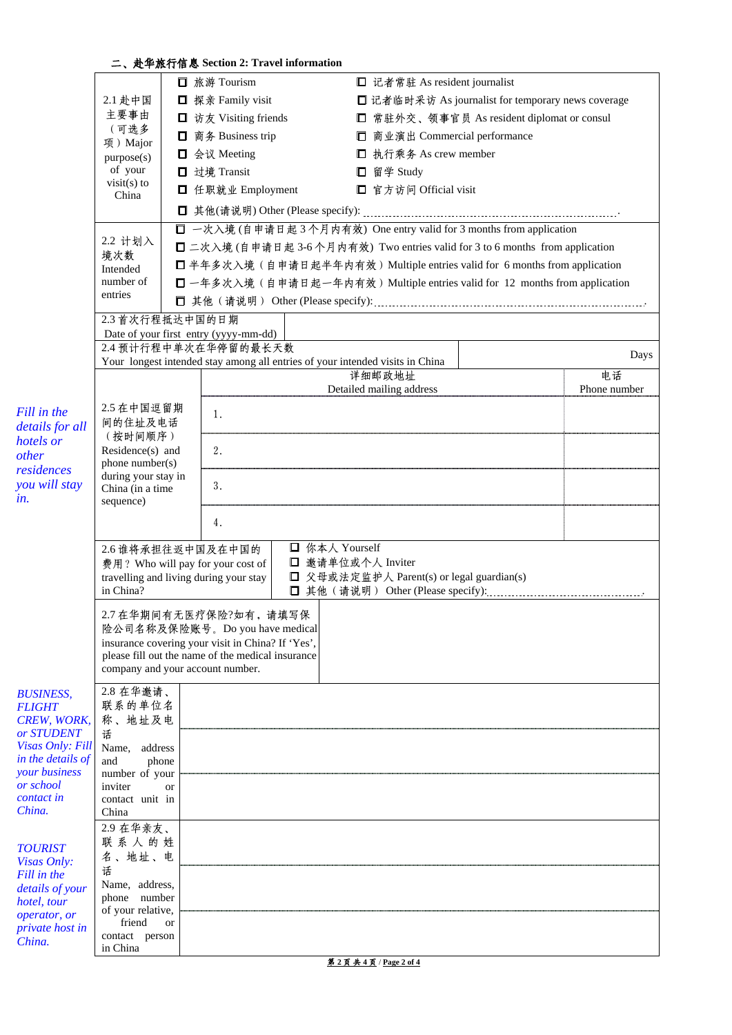## 二、赴华旅行信息 **Section 2: Travel information**

|                                     |                                        |           | □ 旅游 Tourism                                                                  |                | □ 记者常驻 As resident journalist             |                                                                             |              |
|-------------------------------------|----------------------------------------|-----------|-------------------------------------------------------------------------------|----------------|-------------------------------------------|-----------------------------------------------------------------------------|--------------|
|                                     | 2.1 赴中国                                |           | □ 探亲 Family visit                                                             |                |                                           | □ 记者临时采访 As journalist for temporary news coverage                          |              |
|                                     | 主要事由                                   |           | <b>□</b> 访友 Visiting friends                                                  |                |                                           | □ 常驻外交、领事官员 As resident diplomat or consul                                  |              |
|                                     | (可选多                                   |           | □ 商务 Business trip                                                            |                | □ 商业演出 Commercial performance             |                                                                             |              |
|                                     | 项) Major                               |           | □ 会议 Meeting                                                                  |                | □ 执行乘务 As crew member                     |                                                                             |              |
|                                     | purpose(s)<br>of your                  |           | □ 过境 Transit                                                                  |                | □ 留学 Study                                |                                                                             |              |
|                                     | visit(s) to                            |           |                                                                               |                |                                           |                                                                             |              |
|                                     | China                                  |           | □ 任职就业 Employment                                                             |                | □ 官方访问 Official visit                     |                                                                             |              |
|                                     |                                        |           |                                                                               |                |                                           |                                                                             |              |
|                                     | 2.2 计划入                                |           |                                                                               |                |                                           | □ 一次入境(自申请日起3个月内有效) One entry valid for 3 months from application           |              |
|                                     | 境次数                                    |           |                                                                               |                |                                           | □ 二次入境(自申请日起 3-6个月内有效) Two entries valid for 3 to 6 months from application |              |
|                                     | Intended                               |           |                                                                               |                |                                           | □ 半年多次入境(自申请日起半年内有效) Multiple entries valid for 6 months from application   |              |
|                                     | number of<br>entries                   |           |                                                                               |                |                                           | □ 一年多次入境(自申请日起一年内有效) Multiple entries valid for 12 months from application  |              |
|                                     |                                        |           |                                                                               |                |                                           |                                                                             |              |
|                                     | 2.3 首次行程抵达中国的日期                        |           |                                                                               |                |                                           |                                                                             |              |
|                                     |                                        |           | Date of your first entry (yyyy-mm-dd)                                         |                |                                           |                                                                             |              |
|                                     |                                        |           | 2.4 预计行程中单次在华停留的最长天数                                                          |                |                                           |                                                                             | Days         |
|                                     |                                        |           | Your longest intended stay among all entries of your intended visits in China |                | 详细邮政地址                                    |                                                                             | 电话           |
|                                     |                                        |           |                                                                               |                | Detailed mailing address                  |                                                                             | Phone number |
|                                     | 2.5 在中国逗留期                             |           |                                                                               |                |                                           |                                                                             |              |
| Fill in the<br>details for all      | 间的住址及电话                                |           | 1.                                                                            |                |                                           |                                                                             |              |
| hotels or                           | (按时间顺序)                                |           |                                                                               |                |                                           |                                                                             |              |
| other                               | Residence(s) and                       |           | 2.                                                                            |                |                                           |                                                                             |              |
| residences                          | phone number(s)<br>during your stay in |           |                                                                               |                |                                           |                                                                             |              |
| you will stay                       | China (in a time                       |           | 3.                                                                            |                |                                           |                                                                             |              |
| in.                                 | sequence)                              |           |                                                                               |                |                                           |                                                                             |              |
|                                     |                                        |           | 4.                                                                            |                |                                           |                                                                             |              |
|                                     | 2.6 谁将承担往返中国及在中国的                      |           |                                                                               | □ 你本人 Yourself |                                           |                                                                             |              |
|                                     |                                        |           | 费用? Who will pay for your cost of                                             |                | □ 邀请单位或个人 Inviter                         |                                                                             |              |
|                                     |                                        |           | travelling and living during your stay                                        |                | □ 父母或法定监护人 Parent(s) or legal guardian(s) |                                                                             |              |
|                                     | in China?                              |           |                                                                               |                |                                           |                                                                             |              |
|                                     |                                        |           | 2.7 在华期间有无医疗保险?如有,请填写保                                                        |                |                                           |                                                                             |              |
|                                     |                                        |           | 险公司名称及保险账号。Do you have medical                                                |                |                                           |                                                                             |              |
|                                     |                                        |           | insurance covering your visit in China? If 'Yes',                             |                |                                           |                                                                             |              |
|                                     |                                        |           | please fill out the name of the medical insurance                             |                |                                           |                                                                             |              |
|                                     | company and your account number.       |           |                                                                               |                |                                           |                                                                             |              |
| <b>BUSINESS,</b>                    | 2.8 在华邀请、<br>联系的单位名                    |           |                                                                               |                |                                           |                                                                             |              |
| <b>FLIGHT</b><br><b>CREW, WORK,</b> | 称、地址及电                                 |           |                                                                               |                |                                           |                                                                             |              |
| or STUDENT                          | 话                                      |           |                                                                               |                |                                           |                                                                             |              |
| Visas Only: Fill                    | Name,<br>address                       |           |                                                                               |                |                                           |                                                                             |              |
| in the details of<br>your business  | and<br>phone                           |           |                                                                               |                |                                           |                                                                             |              |
| or school                           | number of your<br>inviter              | <b>or</b> |                                                                               |                |                                           |                                                                             |              |
| contact in                          | contact unit in                        |           |                                                                               |                |                                           |                                                                             |              |
| China.                              | China                                  |           |                                                                               |                |                                           |                                                                             |              |
|                                     | 2.9 在华亲友、                              |           |                                                                               |                |                                           |                                                                             |              |
| <b>TOURIST</b>                      | 联系人的姓                                  |           |                                                                               |                |                                           |                                                                             |              |
| Visas Only:                         | 名、地址、电<br>话                            |           |                                                                               |                |                                           |                                                                             |              |
| Fill in the<br>details of your      | Name, address,                         |           |                                                                               |                |                                           |                                                                             |              |
| hotel, tour                         | phone number                           |           |                                                                               |                |                                           |                                                                             |              |
| operator, or                        | of your relative,                      |           |                                                                               |                |                                           |                                                                             |              |
| private host in                     | friend<br>contact person               | <b>or</b> |                                                                               |                |                                           |                                                                             |              |
| China.                              | in China                               |           |                                                                               |                |                                           |                                                                             |              |

第 **2** 页 共 **4** 页 / **Page 2 of 4**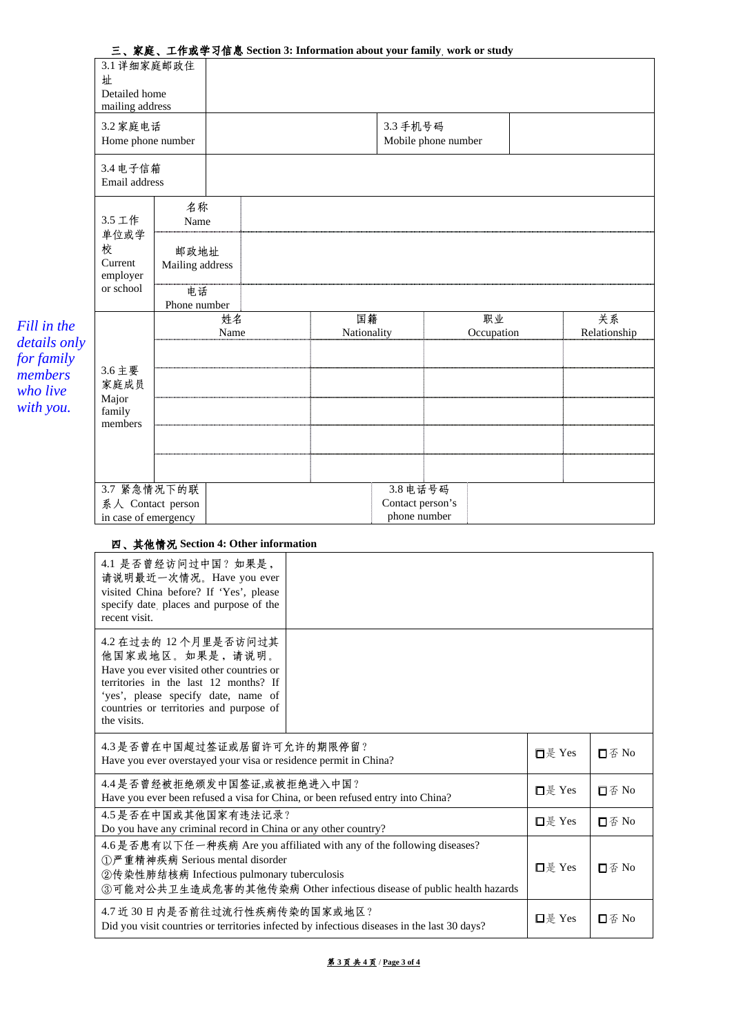|                            |                                                         |                         |            |  |                   |                                 | 三、家庭、工作或学习信息 Section 3: Information about your family, work or study |  |                    |  |
|----------------------------|---------------------------------------------------------|-------------------------|------------|--|-------------------|---------------------------------|----------------------------------------------------------------------|--|--------------------|--|
|                            | 3.1 详细家庭邮政住                                             |                         |            |  |                   |                                 |                                                                      |  |                    |  |
|                            | 址<br>Detailed home                                      |                         |            |  |                   |                                 |                                                                      |  |                    |  |
|                            | mailing address                                         |                         |            |  |                   |                                 |                                                                      |  |                    |  |
|                            | 3.2 家庭电话<br>Home phone number                           |                         |            |  |                   | 3.3 手机号码<br>Mobile phone number |                                                                      |  |                    |  |
|                            | 3.4 电子信箱<br>Email address                               |                         |            |  |                   |                                 |                                                                      |  |                    |  |
|                            | 3.5 工作<br>单位或学<br>校<br>Current<br>employer<br>or school | 名称<br>Name              |            |  |                   |                                 |                                                                      |  |                    |  |
|                            |                                                         | 邮政地址<br>Mailing address |            |  |                   |                                 |                                                                      |  |                    |  |
|                            |                                                         | 电话<br>Phone number      |            |  |                   |                                 |                                                                      |  |                    |  |
| Fill in the                | 3.6 主要                                                  |                         | 姓名<br>Name |  | 国籍<br>Nationality |                                 | 职业<br>Occupation                                                     |  | 关系<br>Relationship |  |
| details only<br>for family |                                                         |                         |            |  |                   |                                 |                                                                      |  |                    |  |
| members                    |                                                         |                         |            |  |                   |                                 |                                                                      |  |                    |  |
| who live<br>with you.      | 家庭成员<br>Major                                           |                         |            |  |                   |                                 |                                                                      |  |                    |  |
|                            | family<br>members                                       |                         |            |  |                   |                                 |                                                                      |  |                    |  |
|                            |                                                         |                         |            |  |                   |                                 |                                                                      |  |                    |  |
|                            |                                                         |                         |            |  |                   |                                 |                                                                      |  |                    |  |
|                            | 3.7 紧急情况下的联                                             |                         |            |  |                   | 3.8 电话号码                        |                                                                      |  |                    |  |
|                            | 系人 Contact person                                       |                         |            |  |                   | Contact person's                |                                                                      |  |                    |  |

### 四、其他情况 **Section 4: Other information**

| 4.1 是否曾经访问过中国?如果是,<br>请说明最近一次情况。Have you ever<br>visited China before? If 'Yes', please<br>specify date, places and purpose of the<br>recent visit.                                                                             |                     |                                                 |
|---------------------------------------------------------------------------------------------------------------------------------------------------------------------------------------------------------------------------------|---------------------|-------------------------------------------------|
| 4.2 在过去的 12 个月里是否访问过其<br>他国家或地区。如果是,请说明。<br>Have you ever visited other countries or<br>territories in the last 12 months? If<br>'yes', please specify date, name of<br>countries or territories and purpose of<br>the visits.  |                     |                                                 |
| 4.3是否曾在中国超过签证或居留许可允许的期限停留?<br>Have you ever overstayed your visa or residence permit in China?                                                                                                                                  | $\Box \nexists$ Yes | 口否 $No$                                         |
| 4.4是否曾经被拒绝颁发中国签证,或被拒绝进入中国?<br>Have you ever been refused a visa for China, or been refused entry into China?                                                                                                                    | □是 Yes              | 口否 No                                           |
| 4.5是否在中国或其他国家有违法记录?<br>Do you have any criminal record in China or any other country?                                                                                                                                           | □是 Yes              | $\mathsf{\Pi} \mathop{\not\in} \mathop{\rm No}$ |
| 4.6 是否患有以下任一种疾病 Are you affiliated with any of the following diseases?<br>①严重精神疾病 Serious mental disorder<br>②传染性肺结核病 Infectious pulmonary tuberculosis<br>③可能对公共卫生造成危害的其他传染病 Other infectious disease of public health hazards | □是 Yes              | 口否 No                                           |
| 4.7 近 30 日内是否前往过流行性疾病传染的国家或地区?<br>Did you visit countries or territories infected by infectious diseases in the last 30 days?                                                                                                   | □是 Yes              | $\square$ $\varnothing$ No                      |

# 三、家庭、工作或学习信息 **Section 3: Information about your family, work or study**

第 **3** 页 共 **4** 页 / **Page 3 of 4**